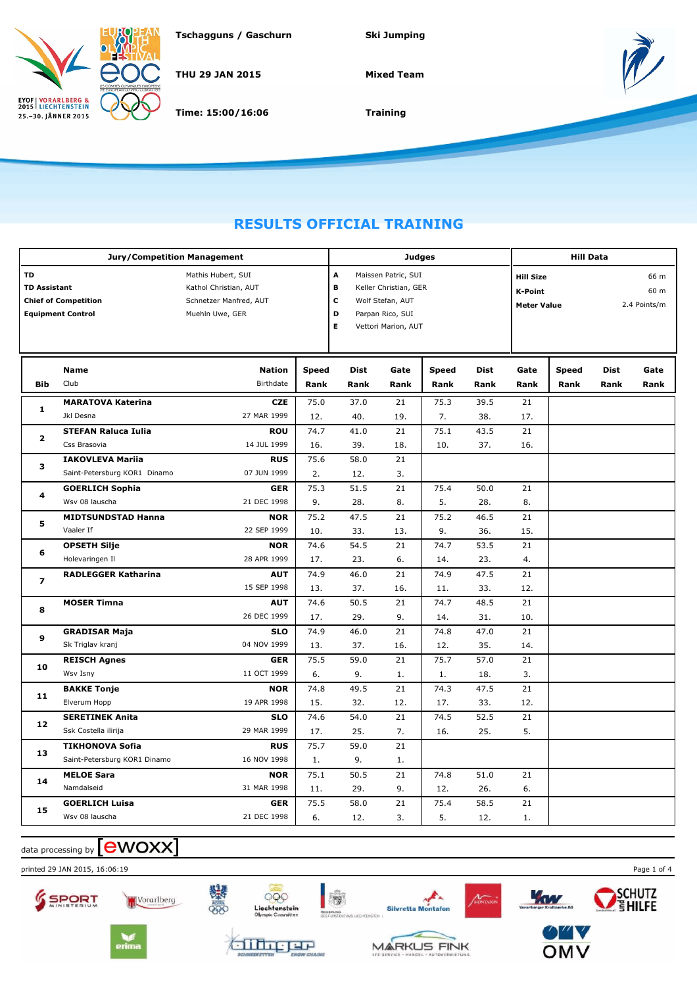

**Tschagguns / Gaschurn Ski Jumping**

**THU 29 JAN 2015**

**Time: 15:00/16:06**

**Mixed Team**



**Training**

## **RESULTS OFFICIAL TRAINING**

|                           | Jury/Competition Management                             |                                                                                          |                      | <b>Hill Data</b>                                                                                                                                      |              |                      |                     |                                                          |                      |                              |              |
|---------------------------|---------------------------------------------------------|------------------------------------------------------------------------------------------|----------------------|-------------------------------------------------------------------------------------------------------------------------------------------------------|--------------|----------------------|---------------------|----------------------------------------------------------|----------------------|------------------------------|--------------|
| TD<br><b>TD Assistant</b> | <b>Chief of Competition</b><br><b>Equipment Control</b> | Mathis Hubert, SUI<br>Kathol Christian, AUT<br>Schnetzer Manfred, AUT<br>Muehln Uwe, GER |                      | <b>Judges</b><br>A<br>Maissen Patric, SUI<br>в<br>Keller Christian, GER<br>C<br>Wolf Stefan, AUT<br>D<br>Parpan Rico, SUI<br>E<br>Vettori Marion, AUT |              |                      |                     | <b>Hill Size</b><br><b>K-Point</b><br><b>Meter Value</b> |                      | 66 m<br>60 m<br>2.4 Points/m |              |
| <b>Bib</b>                | Name<br>Club                                            | <b>Nation</b><br><b>Birthdate</b>                                                        | <b>Speed</b><br>Rank | <b>Dist</b><br>Rank                                                                                                                                   | Gate<br>Rank | <b>Speed</b><br>Rank | <b>Dist</b><br>Rank | Gate<br>Rank                                             | <b>Speed</b><br>Rank | <b>Dist</b><br>Rank          | Gate<br>Rank |
| 1                         | <b>MARATOVA Katerina</b><br>Jkl Desna                   | <b>CZE</b><br>27 MAR 1999                                                                | 75.0<br>12.          | 37.0<br>40.                                                                                                                                           | 21<br>19.    | 75.3<br>7.           | 39.5<br>38.         | 21<br>17.                                                |                      |                              |              |
| 2                         | <b>STEFAN Raluca Iulia</b><br>Css Brasovia              | <b>ROU</b><br>14 JUL 1999                                                                | 74.7<br>16.          | 41.0<br>39.                                                                                                                                           | 21<br>18.    | 75.1<br>10.          | 43.5<br>37.         | 21<br>16.                                                |                      |                              |              |
| 3                         | <b>IAKOVLEVA Mariia</b><br>Saint-Petersburg KOR1 Dinamo | <b>RUS</b><br>07 JUN 1999                                                                | 75.6<br>2.           | 58.0<br>12.                                                                                                                                           | 21<br>3.     |                      |                     |                                                          |                      |                              |              |
| 4                         | <b>GOERLICH Sophia</b><br>Wsv 08 lauscha                | <b>GER</b><br>21 DEC 1998                                                                | 75.3<br>9.           | 51.5<br>28.                                                                                                                                           | 21<br>8.     | 75.4<br>5.           | 50.0<br>28.         | 21<br>8.                                                 |                      |                              |              |
| 5                         | <b>MIDTSUNDSTAD Hanna</b><br>Vaaler If                  | <b>NOR</b><br>22 SEP 1999                                                                | 75.2<br>10.          | 47.5<br>33.                                                                                                                                           | 21<br>13.    | 75.2<br>9.           | 46.5<br>36.         | 21<br>15.                                                |                      |                              |              |
| 6                         | <b>OPSETH Silje</b><br>Holevaringen Il                  | <b>NOR</b><br>28 APR 1999                                                                | 74.6<br>17.          | 54.5<br>23.                                                                                                                                           | 21<br>6.     | 74.7<br>14.          | 53.5<br>23.         | 21<br>4.                                                 |                      |                              |              |
| 7                         | <b>RADLEGGER Katharina</b>                              | <b>AUT</b><br>15 SEP 1998                                                                | 74.9<br>13.          | 46.0<br>37.                                                                                                                                           | 21<br>16.    | 74.9<br>11.          | 47.5<br>33.         | 21<br>12.                                                |                      |                              |              |
| 8                         | <b>MOSER Timna</b>                                      | <b>AUT</b><br>26 DEC 1999                                                                | 74.6<br>17.          | 50.5<br>29.                                                                                                                                           | 21<br>9.     | 74.7<br>14.          | 48.5<br>31.         | 21<br>10.                                                |                      |                              |              |
| 9                         | <b>GRADISAR Maja</b><br>Sk Triglav kranj                | <b>SLO</b><br>04 NOV 1999                                                                | 74.9<br>13.          | 46.0<br>37.                                                                                                                                           | 21<br>16.    | 74.8<br>12.          | 47.0<br>35.         | 21<br>14.                                                |                      |                              |              |
| 10                        | <b>REISCH Agnes</b><br>Wsv Isny                         | <b>GER</b><br>11 OCT 1999                                                                | 75.5<br>6.           | 59.0<br>9.                                                                                                                                            | 21<br>1.     | 75.7<br>1.           | 57.0<br>18.         | 21<br>3.                                                 |                      |                              |              |
| 11                        | <b>BAKKE Tonje</b><br>Elverum Hopp                      | <b>NOR</b><br>19 APR 1998                                                                | 74.8<br>15.          | 49.5<br>32.                                                                                                                                           | 21<br>12.    | 74.3<br>17.          | 47.5<br>33.         | 21<br>12.                                                |                      |                              |              |
| 12                        | <b>SERETINEK Anita</b><br>Ssk Costella ilirija          | <b>SLO</b><br>29 MAR 1999                                                                | 74.6<br>17.          | 54.0<br>25.                                                                                                                                           | 21<br>7.     | 74.5<br>16.          | 52.5<br>25.         | 21<br>5.                                                 |                      |                              |              |
| 13                        | <b>TIKHONOVA Sofia</b><br>Saint-Petersburg KOR1 Dinamo  | <b>RUS</b><br>16 NOV 1998                                                                | 75.7<br>1.           | 59.0<br>9.                                                                                                                                            | 21<br>1.     |                      |                     |                                                          |                      |                              |              |
| 14                        | <b>MELOE Sara</b><br>Namdalseid                         | <b>NOR</b><br>31 MAR 1998                                                                | 75.1<br>11.          | 50.5<br>29.                                                                                                                                           | 21<br>9.     | 74.8<br>12.          | 51.0<br>26.         | 21<br>6.                                                 |                      |                              |              |
| 15                        | <b>GOERLICH Luisa</b><br>Wsv 08 lauscha                 | <b>GER</b><br>21 DEC 1998                                                                | 75.5<br>6.           | 58.0<br>12.                                                                                                                                           | 21<br>3.     | 75.4<br>5.           | 58.5<br>12.         | 21<br>1.                                                 |                      |                              |              |

data processing by **[CWOXX**]

printed 29 JAN 2015, 16:06:19 Page 1 of 4







**MARKUS FINK** 

SCHUTZ<br>EHILFE



ANONTAL

**You** 

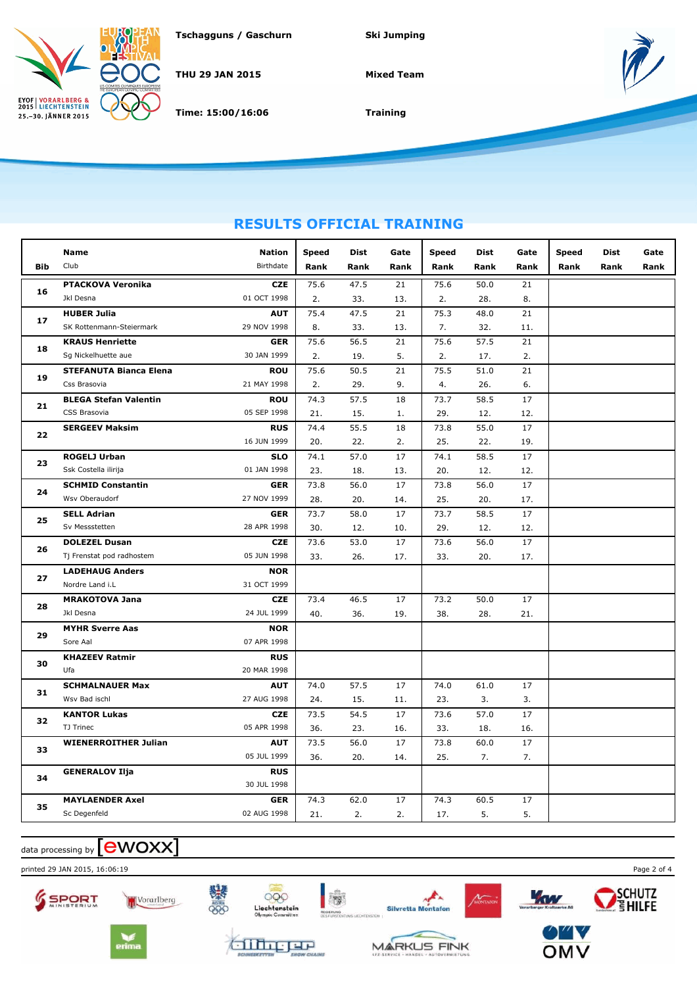

**THU 29 JAN 2015**

**Time: 15:00/16:06**

**Mixed Team**



**Training**

## **RESULTS OFFICIAL TRAINING**

|            | Name                          | <b>Nation</b>    | Speed | Dist | Gate | <b>Speed</b> | <b>Dist</b> | Gate | <b>Speed</b> | <b>Dist</b> | Gate |
|------------|-------------------------------|------------------|-------|------|------|--------------|-------------|------|--------------|-------------|------|
| <b>Bib</b> | Club                          | <b>Birthdate</b> | Rank  | Rank | Rank | Rank         | Rank        | Rank | Rank         | Rank        | Rank |
|            | <b>PTACKOVA Veronika</b>      | <b>CZE</b>       | 75.6  | 47.5 | 21   | 75.6         | 50.0        | 21   |              |             |      |
| 16         | Jkl Desna                     | 01 OCT 1998      | 2.    | 33.  | 13.  | 2.           | 28.         | 8.   |              |             |      |
| 17         | <b>HUBER Julia</b>            | <b>AUT</b>       | 75.4  | 47.5 | 21   | 75.3         | 48.0        | 21   |              |             |      |
|            | SK Rottenmann-Steiermark      | 29 NOV 1998      | 8.    | 33.  | 13.  | 7.           | 32.         | 11.  |              |             |      |
|            | <b>KRAUS Henriette</b>        | <b>GER</b>       | 75.6  | 56.5 | 21   | 75.6         | 57.5        | 21   |              |             |      |
| 18         | Sg Nickelhuette aue           | 30 JAN 1999      | 2.    | 19.  | 5.   | 2.           | 17.         | 2.   |              |             |      |
|            | <b>STEFANUTA Bianca Elena</b> | <b>ROU</b>       | 75.6  | 50.5 | 21   | 75.5         | 51.0        | 21   |              |             |      |
| 19         | Css Brasovia                  | 21 MAY 1998      | 2.    | 29.  | 9.   | 4.           | 26.         | 6.   |              |             |      |
|            | <b>BLEGA Stefan Valentin</b>  | <b>ROU</b>       | 74.3  | 57.5 | 18   | 73.7         | 58.5        | 17   |              |             |      |
| 21         | CSS Brasovia                  | 05 SEP 1998      | 21.   | 15.  | 1.   | 29.          | 12.         | 12.  |              |             |      |
|            | <b>SERGEEV Maksim</b>         | <b>RUS</b>       | 74.4  | 55.5 | 18   | 73.8         | 55.0        | 17   |              |             |      |
| 22         |                               | 16 JUN 1999      | 20.   | 22.  | 2.   | 25.          | 22.         | 19.  |              |             |      |
|            | <b>ROGELJ Urban</b>           | <b>SLO</b>       | 74.1  | 57.0 | 17   | 74.1         | 58.5        | 17   |              |             |      |
| 23         | Ssk Costella ilirija          | 01 JAN 1998      | 23.   | 18.  | 13.  | 20.          | 12.         | 12.  |              |             |      |
| 24         | <b>SCHMID Constantin</b>      | <b>GER</b>       | 73.8  | 56.0 | 17   | 73.8         | 56.0        | 17   |              |             |      |
|            | Wsv Oberaudorf                | 27 NOV 1999      | 28.   | 20.  | 14.  | 25.          | 20.         | 17.  |              |             |      |
| 25         | <b>SELL Adrian</b>            | <b>GER</b>       | 73.7  | 58.0 | 17   | 73.7         | 58.5        | 17   |              |             |      |
|            | Sv Messstetten                | 28 APR 1998      | 30.   | 12.  | 10.  | 29.          | 12.         | 12.  |              |             |      |
| 26         | <b>DOLEZEL Dusan</b>          | <b>CZE</b>       | 73.6  | 53.0 | 17   | 73.6         | 56.0        | 17   |              |             |      |
|            | Tj Frenstat pod radhostem     | 05 JUN 1998      | 33.   | 26.  | 17.  | 33.          | 20.         | 17.  |              |             |      |
| 27         | <b>LADEHAUG Anders</b>        | <b>NOR</b>       |       |      |      |              |             |      |              |             |      |
|            | Nordre Land i.L               | 31 OCT 1999      |       |      |      |              |             |      |              |             |      |
| 28         | <b>MRAKOTOVA Jana</b>         | <b>CZE</b>       | 73.4  | 46.5 | 17   | 73.2         | 50.0        | 17   |              |             |      |
|            | Jkl Desna                     | 24 JUL 1999      | 40.   | 36.  | 19.  | 38.          | 28.         | 21.  |              |             |      |
| 29         | <b>MYHR Sverre Aas</b>        | <b>NOR</b>       |       |      |      |              |             |      |              |             |      |
|            | Sore Aal                      | 07 APR 1998      |       |      |      |              |             |      |              |             |      |
| 30         | <b>KHAZEEV Ratmir</b>         | <b>RUS</b>       |       |      |      |              |             |      |              |             |      |
|            | Ufa                           | 20 MAR 1998      |       |      |      |              |             |      |              |             |      |
| 31         | <b>SCHMALNAUER Max</b>        | <b>AUT</b>       | 74.0  | 57.5 | 17   | 74.0         | 61.0        | 17   |              |             |      |
|            | Wsv Bad ischl                 | 27 AUG 1998      | 24.   | 15.  | 11.  | 23.          | 3.          | 3.   |              |             |      |
| 32         | <b>KANTOR Lukas</b>           | <b>CZE</b>       | 73.5  | 54.5 | 17   | 73.6         | 57.0        | 17   |              |             |      |
|            | TJ Trinec                     | 05 APR 1998      | 36.   | 23.  | 16.  | 33.          | 18.         | 16.  |              |             |      |
| 33         | <b>WIENERROITHER Julian</b>   | <b>AUT</b>       | 73.5  | 56.0 | 17   | 73.8         | 60.0        | 17   |              |             |      |
|            |                               | 05 JUL 1999      | 36.   | 20.  | 14.  | 25.          | 7.          | 7.   |              |             |      |
| 34         | <b>GENERALOV Ilja</b>         | <b>RUS</b>       |       |      |      |              |             |      |              |             |      |
|            |                               | 30 JUL 1998      |       |      |      |              |             |      |              |             |      |
| 35         | <b>MAYLAENDER Axel</b>        | <b>GER</b>       | 74.3  | 62.0 | 17   | 74.3         | 60.5        | 17   |              |             |      |
|            | Sc Degenfeld                  | 02 AUG 1998      | 21.   | 2.   | 2.   | 17.          | 5.          | 5.   |              |             |      |

data processing by **[CWOXX**]

printed 29 JAN 2015, 16:06:19 Page 2 of 4





alinger

鑿





**MARKUS FINK** 

ACONTAL

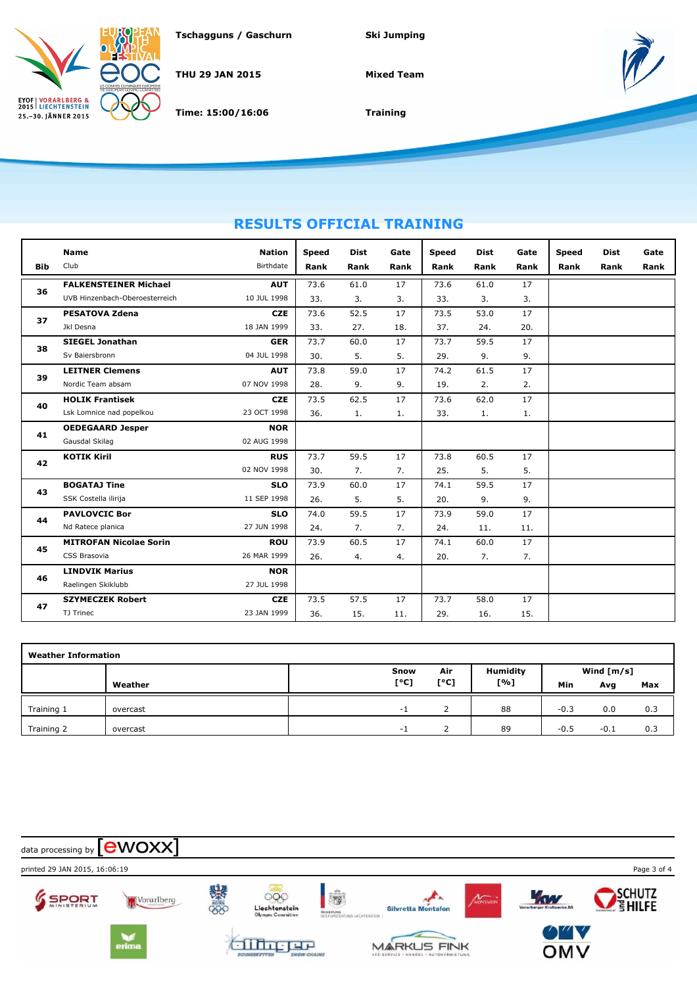

**THU 29 JAN 2015**

**Time: 15:00/16:06**

**Mixed Team**



**Training**

## **RESULTS OFFICIAL TRAINING**

|            | <b>Name</b>                    | <b>Nation</b> | <b>Speed</b> | <b>Dist</b> | Gate | <b>Speed</b> | <b>Dist</b> | Gate | <b>Speed</b> | <b>Dist</b> | Gate |
|------------|--------------------------------|---------------|--------------|-------------|------|--------------|-------------|------|--------------|-------------|------|
| <b>Bib</b> | Club                           | Birthdate     | Rank         | Rank        | Rank | Rank         | Rank        | Rank | Rank         | Rank        | Rank |
| 36         | <b>FALKENSTEINER Michael</b>   | <b>AUT</b>    | 73.6         | 61.0        | 17   | 73.6         | 61.0        | 17   |              |             |      |
|            | UVB Hinzenbach-Oberoesterreich | 10 JUL 1998   | 33.          | 3.          | 3.   | 33.          | 3.          | 3.   |              |             |      |
| 37         | <b>PESATOVA Zdena</b>          | <b>CZE</b>    | 73.6         | 52.5        | 17   | 73.5         | 53.0        | 17   |              |             |      |
|            | Jkl Desna                      | 18 JAN 1999   | 33.          | 27.         | 18.  | 37.          | 24.         | 20.  |              |             |      |
| 38         | <b>SIEGEL Jonathan</b>         | <b>GER</b>    | 73.7         | 60.0        | 17   | 73.7         | 59.5        | 17   |              |             |      |
|            | Sv Baiersbronn                 | 04 JUL 1998   | 30.          | 5.          | 5.   | 29.          | 9.          | 9.   |              |             |      |
| 39         | <b>LEITNER Clemens</b>         | <b>AUT</b>    | 73.8         | 59.0        | 17   | 74.2         | 61.5        | 17   |              |             |      |
|            | Nordic Team absam              | 07 NOV 1998   | 28.          | 9.          | 9.   | 19.          | 2.          | 2.   |              |             |      |
| 40         | <b>HOLIK Frantisek</b>         | <b>CZE</b>    | 73.5         | 62.5        | 17   | 73.6         | 62.0        | 17   |              |             |      |
|            | Lsk Lomnice nad popelkou       | 23 OCT 1998   | 36.          | 1.          | 1.   | 33.          | 1.          | 1.   |              |             |      |
| 41         | <b>OEDEGAARD Jesper</b>        | <b>NOR</b>    |              |             |      |              |             |      |              |             |      |
|            | Gausdal Skilag                 | 02 AUG 1998   |              |             |      |              |             |      |              |             |      |
| 42         | <b>KOTIK Kiril</b>             | <b>RUS</b>    | 73.7         | 59.5        | 17   | 73.8         | 60.5        | 17   |              |             |      |
|            |                                | 02 NOV 1998   | 30.          | 7.          | 7.   | 25.          | 5.          | 5.   |              |             |      |
| 43         | <b>BOGATAJ Tine</b>            | <b>SLO</b>    | 73.9         | 60.0        | 17   | 74.1         | 59.5        | 17   |              |             |      |
|            | SSK Costella ilirija           | 11 SEP 1998   | 26.          | 5.          | 5.   | 20.          | 9.          | 9.   |              |             |      |
| 44         | <b>PAVLOVCIC Bor</b>           | <b>SLO</b>    | 74.0         | 59.5        | 17   | 73.9         | 59.0        | 17   |              |             |      |
|            | Nd Ratece planica              | 27 JUN 1998   | 24.          | 7.          | 7.   | 24.          | 11.         | 11.  |              |             |      |
| 45         | <b>MITROFAN Nicolae Sorin</b>  | <b>ROU</b>    | 73.9         | 60.5        | 17   | 74.1         | 60.0        | 17   |              |             |      |
|            | CSS Brasovia                   | 26 MAR 1999   | 26.          | 4.          | 4.   | 20.          | 7.          | 7.   |              |             |      |
| 46         | <b>LINDVIK Marius</b>          | <b>NOR</b>    |              |             |      |              |             |      |              |             |      |
|            | Raelingen Skiklubb             | 27 JUL 1998   |              |             |      |              |             |      |              |             |      |
| 47         | <b>SZYMECZEK Robert</b>        | <b>CZE</b>    | 73.5         | 57.5        | 17   | 73.7         | 58.0        | 17   |              |             |      |
|            | TJ Trinec                      | 23 JAN 1999   | 36.          | 15.         | 11.  | 29.          | 16.         | 15.  |              |             |      |

| <b>Weather Information</b> |          |                          |      |                 |        |              |     |
|----------------------------|----------|--------------------------|------|-----------------|--------|--------------|-----|
|                            |          | Snow                     | Air  | <b>Humidity</b> |        | Wind $[m/s]$ |     |
|                            | Weather  | [°C]                     | [°C] | [%]             | Min    | Avg          | Max |
| Training 1                 | overcast | - 1                      |      | 88              | $-0.3$ | 0.0          | 0.3 |
| Training 2                 | overcast | $\overline{\phantom{0}}$ |      | 89              | $-0.5$ | $-0.1$       | 0.3 |